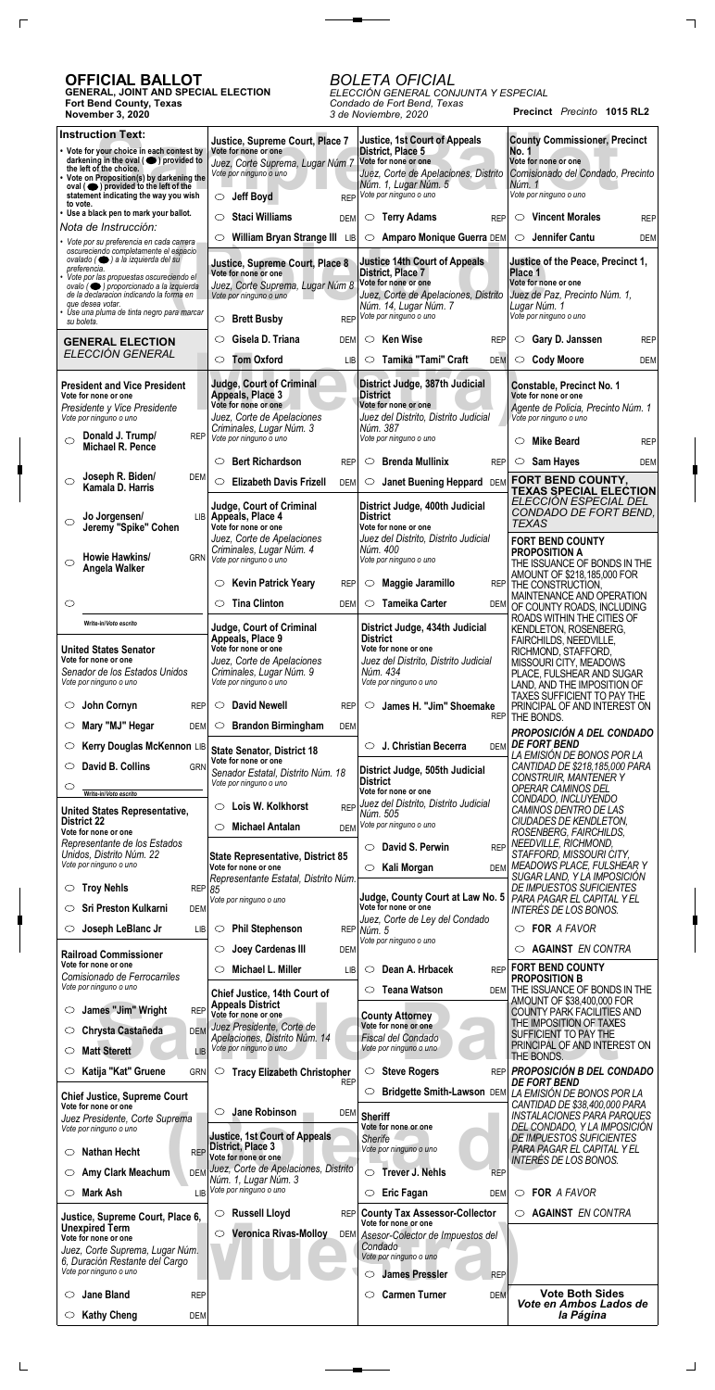**Precinct** *Precinto* **1015 RL2**

## **OFFICIAL BALLOT**

 $\Gamma$ 

 $\Box$ 

**GENERAL, JOINT AND SPECIAL ELECTION Fort Bend County, Texas November 3, 2020**

## *BOLETA OFICIAL*

 $\overline{\phantom{a}}$  and  $\overline{\phantom{a}}$ 

*ELECCIÓN GENERAL CONJUNTA Y ESPECIAL Condado de Fort Bend, Texas 3 de Noviembre, 2020*

| <b>Instruction Text:</b>                                                                                                                                                                                               | Justice, Supreme Court, Place 7                                                                                  | <b>Justice, 1st Court of Appeals</b>                                                                              | <b>County Commissioner, Precinct</b>                                                                                     |
|------------------------------------------------------------------------------------------------------------------------------------------------------------------------------------------------------------------------|------------------------------------------------------------------------------------------------------------------|-------------------------------------------------------------------------------------------------------------------|--------------------------------------------------------------------------------------------------------------------------|
| • Vote for your choice in each contest by<br>darkening in the oval $($ $\bullet)$ provided to<br>the left of the choice.<br>• Vote on Proposition(s) by darkening the<br>$oval ( \bullet) provided to the left of the$ | Vote for none or one<br>Juez, Corte Suprema, Lugar Núm 7<br>Vote por ninguno o uno                               | District, Place 5<br>Vote for none or one<br>Juez, Corte de Apelaciones, Distrito<br>Núm. 1, Lugar Núm. 5         | No. 1<br>Vote for none or one<br>Comisionado del Condado, Precinto<br>Núm. 1                                             |
| statement indicating the way you wish<br>to vote.                                                                                                                                                                      | <b>Jeff Boyd</b><br><b>REP</b><br>$\circ$                                                                        | Vote por ninguno o uno                                                                                            | Vote por ninguno o uno                                                                                                   |
| • Use a black pen to mark your ballot.<br>Nota de Instrucción:                                                                                                                                                         | <b>Staci Williams</b><br>◯<br><b>DEM</b>                                                                         | <b>Terry Adams</b><br><b>REP</b><br>$\circ$                                                                       | <b>Vincent Morales</b><br>$\circ$<br><b>REP</b>                                                                          |
| · Vote por su preferencia en cada carrera                                                                                                                                                                              | William Bryan Strange III LIB<br>$\circlearrowright$                                                             | $\circ$<br>Amparo Monique Guerra DEM                                                                              | Jennifer Cantu<br>$\circ$<br><b>DEM</b>                                                                                  |
| oscureciendo completamente el espacio<br>ovalado (   a la izquierda del su<br>preferencia.                                                                                                                             | Justice, Supreme Court, Place 8<br>Vote for none or one                                                          | <b>Justice 14th Court of Appeals</b>                                                                              | Justice of the Peace, Precinct 1,                                                                                        |
| · Vote por las propuestas oscureciendo el<br>ovalo (● ) proporcionado a la izquierda                                                                                                                                   | Juez, Corte Suprema, Lugar Núm 8                                                                                 | <b>District, Place 7</b><br>Vote for none or one                                                                  | Place 1<br>Vote for none or one                                                                                          |
| de la declaración indicando la forma en<br>que desea votar.                                                                                                                                                            | Vote por ninguno o uno                                                                                           | Juez, Corte de Apelaciones, Distrito<br>Núm. 14, Lugar Núm. 7                                                     | Juez de Paz, Precinto Núm. 1,<br>Lugar Núm. 1                                                                            |
| Use una pluma de tinta negro para marcar<br>su boleta.                                                                                                                                                                 | <b>Brett Busby</b><br>$\circlearrowright$                                                                        | REP Vote por ninguno o uno                                                                                        | Vote por ninguno o uno                                                                                                   |
| <b>GENERAL ELECTION</b>                                                                                                                                                                                                | Gisela D. Triana<br>$\circ$<br><b>DEM</b>                                                                        | <b>Ken Wise</b><br>$\circ$<br><b>REP</b>                                                                          | Gary D. Janssen<br>$\circ$<br><b>REP</b>                                                                                 |
| ELECCIÓN GENERAL                                                                                                                                                                                                       | <b>Tom Oxford</b><br>$\circ$<br><b>LIB</b>                                                                       | Tamika "Tami" Craft<br><b>DEM</b><br>$\circ$                                                                      | <b>Cody Moore</b><br>$\circ$<br><b>DEM</b>                                                                               |
| <b>President and Vice President</b><br>Vote for none or one<br>Presidente y Vice Presidente<br>Vote por ninguno o uno                                                                                                  | <b>Judge, Court of Criminal</b><br><b>Appeals, Place 3</b><br>Vote for none or one<br>Juez, Corte de Apelaciones | District Judge, 387th Judicial<br><b>District</b><br>Vote for none or one<br>Juez del Distrito, Distrito Judicial | <b>Constable, Precinct No. 1</b><br>Vote for none or one<br>Agente de Policia, Precinto Núm. 1<br>Vote por ninguno o uno |
| Donald J. Trump/<br><b>REP</b><br>$\circ$<br>Michael R. Pence                                                                                                                                                          | Criminales, Lugar Núm. 3<br>Vote por ninguno o uno                                                               | Núm. 387<br>Vote por ninguno o uno                                                                                | <b>Mike Beard</b><br>◯<br><b>REP</b>                                                                                     |
|                                                                                                                                                                                                                        | <b>Bert Richardson</b><br>$\circ$<br><b>REP</b>                                                                  | <b>Brenda Mullinix</b><br>$\circ$<br><b>REP</b>                                                                   | Sam Hayes<br>$\circ$<br><b>DEM</b>                                                                                       |
| Joseph R. Biden/<br><b>DEM</b><br>$\bigcirc$<br>Kamala D. Harris                                                                                                                                                       | <b>Elizabeth Davis Frizell</b><br>$\circ$<br><b>DEM</b>                                                          | <b>Janet Buening Heppard</b><br>$\circ$<br><b>DEM</b>                                                             | FORT BEND COUNTY,                                                                                                        |
|                                                                                                                                                                                                                        | Judge, Court of Criminal                                                                                         | District Judge, 400th Judicial                                                                                    | <b>TEXAS SPECIAL ELECTION</b><br>ELECCIÓN ESPECIAL DEL                                                                   |
| Jo Jorgensen/<br>$\circ$<br>Jeremy "Spike" Cohen                                                                                                                                                                       | LIB Appeals, Place 4<br>Vote for none or one                                                                     | <b>District</b><br>Vote for none or one                                                                           | CONDADO DE FORT BEND,<br><b>TEXAS</b>                                                                                    |
|                                                                                                                                                                                                                        | Juez, Corte de Apelaciones<br>Criminales, Lugar Núm. 4                                                           | Juez del Distrito, Distrito Judicial<br>Núm. 400                                                                  | <b>FORT BEND COUNTY</b><br><b>PROPOSITION A</b>                                                                          |
| Howie Hawkins/<br><b>GRN</b><br>◯<br>Angela Walker                                                                                                                                                                     | Vote por ninguno o uno                                                                                           | Vote por ninguno o uno                                                                                            | THE ISSUANCE OF BONDS IN THE                                                                                             |
|                                                                                                                                                                                                                        | <b>Kevin Patrick Yeary</b><br>$\circlearrowright$<br><b>REP</b>                                                  | Maggie Jaramillo<br>$\circ$                                                                                       | AMOUNT OF \$218,185,000 FOR<br>REP THE CONSTRUCTION,                                                                     |
| $\circlearrowright$                                                                                                                                                                                                    | <b>Tina Clinton</b><br>$\circlearrowright$<br><b>DEM</b>                                                         | <b>Tameika Carter</b><br>$\circlearrowright$<br>DEM                                                               | MAINTENANCE AND OPERATION<br>OF COUNTY ROADS, INCLUDING                                                                  |
| Write-in/Voto escrito                                                                                                                                                                                                  | <b>Judge, Court of Criminal</b>                                                                                  | District Judge, 434th Judicial                                                                                    | ROADS WITHIN THE CITIES OF<br>KENDLETON, ROSENBERG,                                                                      |
| <b>United States Senator</b><br>Vote for none or one                                                                                                                                                                   | Appeals, Place 9<br>Vote for none or one                                                                         | <b>District</b><br>Vote for none or one                                                                           | FAIRCHILDS, NEEDVILLE,<br>RICHMOND, STAFFORD,                                                                            |
| Senador de los Estados Unidos<br>Vote por ninguno o uno                                                                                                                                                                | Juez, Corte de Apelaciones<br>Criminales, Lugar Núm. 9<br>Vote por ninguno o uno                                 | Juez del Distrito, Distrito Judicial<br>Núm. 434<br>Vote por ninguno o uno                                        | MISSOURI CITY, MEADOWS<br>PLACE, FULSHEAR AND SUGAR<br>LAND, AND THE IMPOSITION OF                                       |
| John Cornyn<br>O<br><b>REP</b>                                                                                                                                                                                         | <b>David Newell</b><br>O<br><b>REP</b>                                                                           | James H. "Jim" Shoemake<br>O                                                                                      | TAXES SUFFICIENT TO PAY THE<br>PRINCIPAL OF AND INTEREST ON                                                              |
| Mary "MJ" Hegar<br>O<br><b>DEM</b>                                                                                                                                                                                     | <b>Brandon Birmingham</b><br>$\circ$<br><b>DEM</b>                                                               | <b>REP</b>                                                                                                        | THE BONDS.                                                                                                               |
| Kerry Douglas McKennon LIB<br>O                                                                                                                                                                                        | <b>State Senator, District 18</b>                                                                                | J. Christian Becerra<br>$\circ$<br><b>DEM</b>                                                                     | <b>PROPOSICIÓN A DEL CONDADO</b><br><b>DE FORT BEND</b>                                                                  |
| David B. Collins<br>O<br><b>GRN</b>                                                                                                                                                                                    | Vote for none or one<br>Senador Estatal, Distrito Núm. 18                                                        | District Judge, 505th Judicial                                                                                    | LA EMISIÓN DE BONOS POR LA<br>CANTIDAD DE \$218,185,000 PARA                                                             |
| O<br>Write-in/Voto escrito                                                                                                                                                                                             | Vote por ninguno o uno                                                                                           | <b>District</b><br>Vote for none or one                                                                           | <b>CONSTRUIR, MANTENER Y</b><br>OPERAR CAMINOS DEL                                                                       |
| <b>United States Representative,</b>                                                                                                                                                                                   | Lois W. Kolkhorst<br><b>REP</b><br>O                                                                             | Juez del Distrito, Distrito Judicial<br>Núm. 505                                                                  | CONDADO, INCLUYENDO<br>CAMINOS DENTRO DE LAS                                                                             |
| <b>District 22</b><br>Vote for none or one                                                                                                                                                                             | <b>Michael Antalan</b><br>$\circlearrowright$                                                                    | DEM Vote por ninguno o uno                                                                                        | CIUDADES DE KENDLETON,<br>ROSENBERG, FAIRCHILDS,                                                                         |
| Representante de los Estados<br>Unidos, Distrito Núm. 22                                                                                                                                                               | <b>State Representative, District 85</b>                                                                         | David S. Perwin<br><b>REP</b><br>O                                                                                | NEEDVILLE, RICHMOND,<br>STAFFORD, MISSOURI CITY,                                                                         |
| Vote por ninguno o uno                                                                                                                                                                                                 | Vote for none or one<br>Representante Estatal, Distrito Núm.                                                     | Kali Morgan<br>$\circ$<br><b>DEM</b>                                                                              | MEADOWS PLACE, FULSHEAR Y<br>SUGAR LAND, Y LA IMPOSICIÓN                                                                 |
| <b>Troy Nehls</b><br>$\circ$                                                                                                                                                                                           | REPI 85<br>Vote por ninguno o uno                                                                                | Judge, County Court at Law No. 5                                                                                  | DE IMPUESTOS SUFICIENTES<br>PARA PAGAR EL CAPITAL Y EL                                                                   |
| <b>Sri Preston Kulkarni</b><br>◯<br><b>DEM</b>                                                                                                                                                                         |                                                                                                                  | Vote for none or one<br>Juez, Corte de Ley del Condado                                                            | INTERÉS DE LOS BONOS.                                                                                                    |
| Joseph LeBlanc Jr<br>O<br><b>LIB</b>                                                                                                                                                                                   | <b>Phil Stephenson</b><br>$\circ$                                                                                | REP Núm. 5<br>Vote por ninguno o uno                                                                              | $\circ$ FOR A FAVOR                                                                                                      |
| <b>Railroad Commissioner</b><br>Vote for none or one                                                                                                                                                                   | Joey Cardenas III<br>$\circ$<br><b>DEM</b>                                                                       |                                                                                                                   | <b>AGAINST EN CONTRA</b><br>O<br><b>FORT BEND COUNTY</b>                                                                 |
| Comisionado de Ferrocarriles<br>Vote por ninguno o uno                                                                                                                                                                 | Michael L. Miller<br>$\circlearrowright$<br>LІВ                                                                  | Dean A. Hrbacek<br>$\circ$<br><b>REP</b>                                                                          | <b>PROPOSITION B</b>                                                                                                     |
| James "Jim" Wright<br><b>REP</b><br>O                                                                                                                                                                                  | Chief Justice, 14th Court of<br><b>Appeals District</b>                                                          | <b>Teana Watson</b><br>O<br>DEM                                                                                   | THE ISSUANCE OF BONDS IN THE<br>AMOUNT OF \$38,400,000 FOR                                                               |
| Chrysta Castañeda<br><b>DEM</b><br>$\circ$                                                                                                                                                                             | Vote for none or one<br>Juez Presidente, Corte de                                                                | <b>County Attorney</b><br>Vote for none or one                                                                    | <b>COUNTY PARK FACILITIES AND</b><br>THE IMPOSITION OF TAXES                                                             |
| <b>Matt Sterett</b><br><b>LIB</b><br>O                                                                                                                                                                                 | Apelaciones, Distrito Núm. 14<br>Vote por ninguno o uno                                                          | Fiscal del Condado<br>Vote por ninguno o uno                                                                      | SUFFICIENT TO PAY THE<br>PRINCIPAL OF AND INTEREST ON                                                                    |
| Katija "Kat" Gruene<br>O<br><b>GRN</b>                                                                                                                                                                                 | $\circlearrowright$<br><b>Tracy Elizabeth Christopher</b>                                                        | <b>Steve Rogers</b><br>$\circ$<br><b>REP</b>                                                                      | THE BONDS.<br><b>PROPOSICIÓN B DEL CONDADO</b>                                                                           |
|                                                                                                                                                                                                                        | <b>REP</b>                                                                                                       | $\circlearrowright$<br><b>Bridgette Smith-Lawson DEM</b>                                                          | <b>DE FORT BEND</b><br>LA EMISIÓN DE BONOS POR LA                                                                        |
| <b>Chief Justice, Supreme Court</b><br>Vote for none or one                                                                                                                                                            | <b>Jane Robinson</b><br>$\circ$                                                                                  | DEM Sheriff                                                                                                       | CANTIDAD DE \$38,400,000 PARA<br><b>INSTALACIONES PARA PARQUES</b>                                                       |
| Juez Presidente, Corte Suprema<br>Vote por ninguno o uno                                                                                                                                                               | <b>Justice, 1st Court of Appeals</b>                                                                             | Vote for none or one                                                                                              | DEL CONDADO, Y LA IMPOSICIÓN                                                                                             |
| <b>Nathan Hecht</b><br><b>REP</b><br>O                                                                                                                                                                                 | District, Place 3<br>Vote for none or one                                                                        | <b>Sherife</b><br>Vote por ninguno o uno                                                                          | <b>DE IMPUESTOS SUFICIENTES</b><br>PARA PAGAR EL CAPITAL Y EL                                                            |
| Amy Clark Meachum<br><b>DEM</b><br>$\circ$                                                                                                                                                                             | Juez, Corte de Apelaciones, Distrito                                                                             | <b>Trever J. Nehls</b><br>$\circ$<br><b>REP</b>                                                                   | INTERÉS DE LOS BONOS.                                                                                                    |
| <b>Mark Ash</b><br>O<br>LIB                                                                                                                                                                                            | Núm. 1, Lugar Núm. 3<br>Vote por ninguno o uno                                                                   | <b>Eric Fagan</b><br>$\circ$<br>DEM                                                                               | $\circ$ FOR A FAVOR                                                                                                      |
| Justice, Supreme Court, Place 6,                                                                                                                                                                                       | <b>Russell Lloyd</b><br>$\circ$                                                                                  | REP County Tax Assessor-Collector<br>Vote for none or one                                                         | <b>AGAINST EN CONTRA</b><br>O                                                                                            |
| <b>Unexpired Term</b><br>Vote for none or one                                                                                                                                                                          | <b>Veronica Rivas-Molloy</b><br>$\circ$                                                                          | DEM Asesor-Colector de Impuestos del                                                                              |                                                                                                                          |
| Juez, Corte Suprema, Lugar Núm.<br>6, Duración Restante del Cargo<br>Vote por ninguno o uno                                                                                                                            |                                                                                                                  | Condado<br>Vote por ninguno o uno                                                                                 |                                                                                                                          |
| <b>Jane Bland</b><br><b>REP</b><br>O                                                                                                                                                                                   |                                                                                                                  | <b>James Pressler</b><br><b>REP</b><br>⌒<br><b>Carmen Turner</b><br>O<br><b>DEM</b>                               | <b>Vote Both Sides</b>                                                                                                   |
| <b>Kathy Cheng</b><br><b>DEM</b><br>$\circ$                                                                                                                                                                            |                                                                                                                  |                                                                                                                   | Vote en Ambos Lados de<br>la Página                                                                                      |

 $\Box$